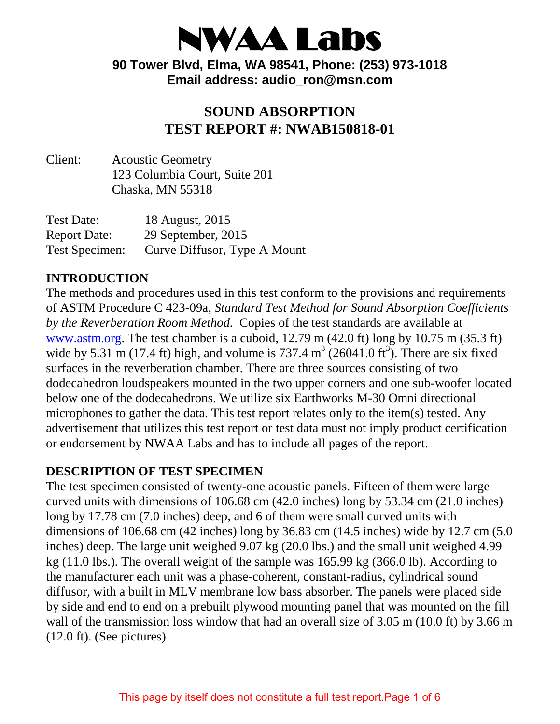

**90 Tower Blvd, Elma, WA 98541, Phone: (253) 973-1018 Email address: audio\_ron@msn.com**

## **SOUND ABSORPTION TEST REPORT #: NWAB150818-01**

Client: Acoustic Geometry 123 Columbia Court, Suite 201 Chaska, MN 55318

| <b>Test Date:</b>   | 18 August, 2015              |
|---------------------|------------------------------|
| <b>Report Date:</b> | 29 September, 2015           |
| Test Specimen:      | Curve Diffusor, Type A Mount |

### **INTRODUCTION**

The methods and procedures used in this test conform to the provisions and requirements of ASTM Procedure C 423-09a, *Standard Test Method for Sound Absorption Coefficients by the Reverberation Room Method.* Copies of the test standards are available at [www.astm.org.](http://www.astm.org/) The test chamber is a cuboid, 12.79 m (42.0 ft) long by 10.75 m (35.3 ft) wide by 5.31 m (17.4 ft) high, and volume is 737.4  $m^3$  (26041.0 ft<sup>3</sup>). There are six fixed surfaces in the reverberation chamber. There are three sources consisting of two dodecahedron loudspeakers mounted in the two upper corners and one sub-woofer located below one of the dodecahedrons. We utilize six Earthworks M-30 Omni directional microphones to gather the data. This test report relates only to the item(s) tested. Any advertisement that utilizes this test report or test data must not imply product certification or endorsement by NWAA Labs and has to include all pages of the report.

### **DESCRIPTION OF TEST SPECIMEN**

The test specimen consisted of twenty-one acoustic panels. Fifteen of them were large curved units with dimensions of 106.68 cm (42.0 inches) long by 53.34 cm (21.0 inches) long by 17.78 cm (7.0 inches) deep, and 6 of them were small curved units with dimensions of 106.68 cm (42 inches) long by 36.83 cm (14.5 inches) wide by 12.7 cm (5.0 inches) deep. The large unit weighed 9.07 kg (20.0 lbs.) and the small unit weighed 4.99 kg (11.0 lbs.). The overall weight of the sample was 165.99 kg (366.0 lb). According to the manufacturer each unit was a phase-coherent, constant-radius, cylindrical sound diffusor, with a built in MLV membrane low bass absorber. The panels were placed side by side and end to end on a prebuilt plywood mounting panel that was mounted on the fill wall of the transmission loss window that had an overall size of 3.05 m (10.0 ft) by 3.66 m (12.0 ft). (See pictures)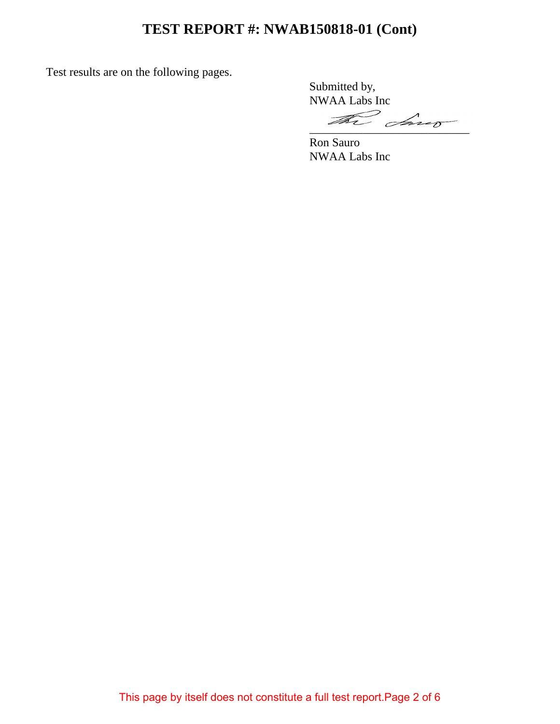## **TEST REPORT #: NWAB150818-01 (Cont)**

Test results are on the following pages.

 Submitted by, NWAA Labs Inc

 $\mathscr{R}$  dance

 Ron Sauro NWAA Labs Inc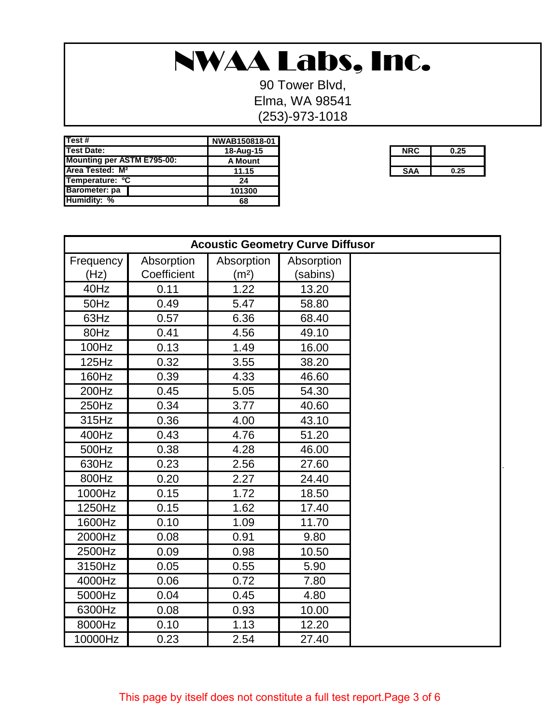# NWAA Labs, Inc.

90 Tower Blvd, Elma, WA 98541 (253)-973-1018

| Test#                       | NWAB150818-01  |
|-----------------------------|----------------|
| Test Date:                  | 18-Aug-15      |
| Mounting per ASTM E795-00:  | <b>A</b> Mount |
| Area Tested: M <sup>2</sup> | 11.15          |
| Temperature: <sup>o</sup> C | 24             |
| <b>Barometer:</b> pa        | 101300         |
| <b>Humidity: %</b>          | 68             |

| <b>NRC</b> | 0.25 |
|------------|------|
|            |      |
| <b>SAA</b> | 0.25 |
|            |      |

|           |             | <b>Acoustic Geometry Curve Diffusor</b> |            |
|-----------|-------------|-----------------------------------------|------------|
| Frequency | Absorption  | Absorption                              | Absorption |
| (Hz)      | Coefficient | (m <sup>2</sup> )                       | (sabins)   |
| 40Hz      | 0.11        | 1.22                                    | 13.20      |
| 50Hz      | 0.49        | 5.47                                    | 58.80      |
| 63Hz      | 0.57        | 6.36                                    | 68.40      |
| 80Hz      | 0.41        | 4.56                                    | 49.10      |
| 100Hz     | 0.13        | 1.49                                    | 16.00      |
| 125Hz     | 0.32        | 3.55                                    | 38.20      |
| 160Hz     | 0.39        | 4.33                                    | 46.60      |
| 200Hz     | 0.45        | 5.05                                    | 54.30      |
| 250Hz     | 0.34        | 3.77                                    | 40.60      |
| 315Hz     | 0.36        | 4.00                                    | 43.10      |
| 400Hz     | 0.43        | 4.76                                    | 51.20      |
| 500Hz     | 0.38        | 4.28                                    | 46.00      |
| 630Hz     | 0.23        | 2.56                                    | 27.60      |
| 800Hz     | 0.20        | 2.27                                    | 24.40      |
| 1000Hz    | 0.15        | 1.72                                    | 18.50      |
| 1250Hz    | 0.15        | 1.62                                    | 17.40      |
| 1600Hz    | 0.10        | 1.09                                    | 11.70      |
| 2000Hz    | 0.08        | 0.91                                    | 9.80       |
| 2500Hz    | 0.09        | 0.98                                    | 10.50      |
| 3150Hz    | 0.05        | 0.55                                    | 5.90       |
| 4000Hz    | 0.06        | 0.72                                    | 7.80       |
| 5000Hz    | 0.04        | 0.45                                    | 4.80       |
| 6300Hz    | 0.08        | 0.93                                    | 10.00      |
| 8000Hz    | 0.10        | 1.13                                    | 12.20      |
| 10000Hz   | 0.23        | 2.54                                    | 27.40      |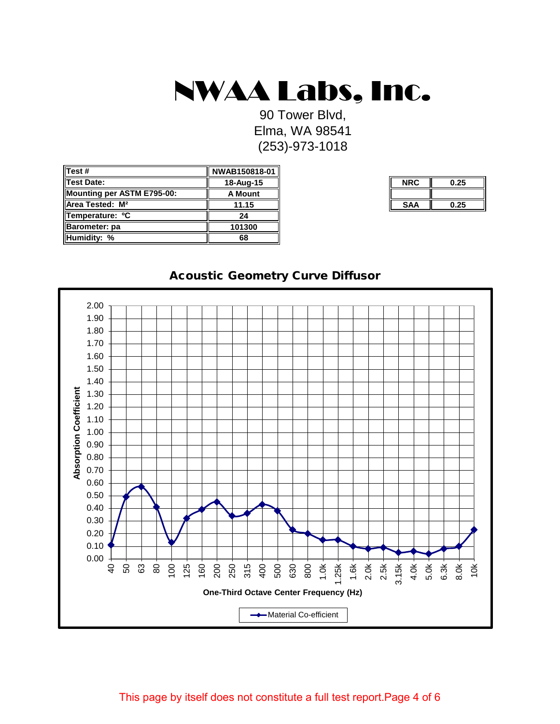# NWAA Labs, Inc.

90 Tower Blvd, Elma, WA 98541 (253)-973-1018

| Test#                       | NWAB150818-01  |  |  |
|-----------------------------|----------------|--|--|
| <b>Test Date:</b>           | 18-Aug-15      |  |  |
| Mounting per ASTM E795-00:  | <b>A Mount</b> |  |  |
| Area Tested: M <sup>2</sup> | 11.15          |  |  |
| Temperature: <sup>o</sup> C | 24             |  |  |
| Barometer: pa               | 101300         |  |  |
| Humidity: %                 | 68             |  |  |

| .              |            |      |
|----------------|------------|------|
| 18-Aug-15      | <b>NRC</b> | 0.25 |
| <b>A Mount</b> |            |      |
| 11.15          | <b>SAA</b> | 0.25 |
|                |            |      |

#### Acoustic Geometry Curve Diffusor



#### This page by itself does not constitute a full test report.Page 4 of 6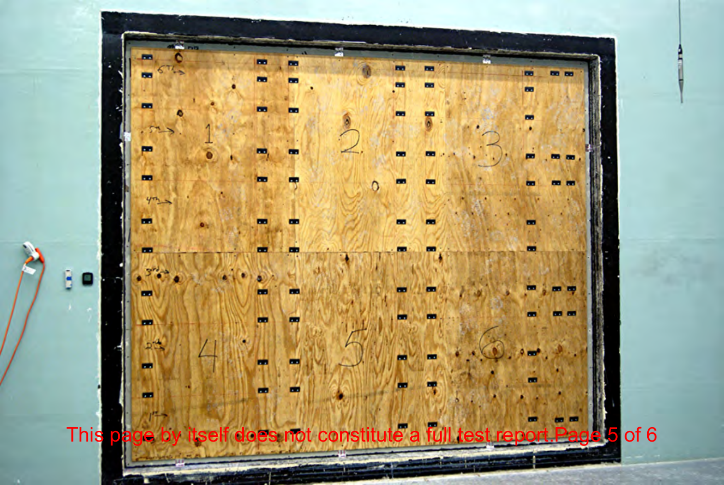